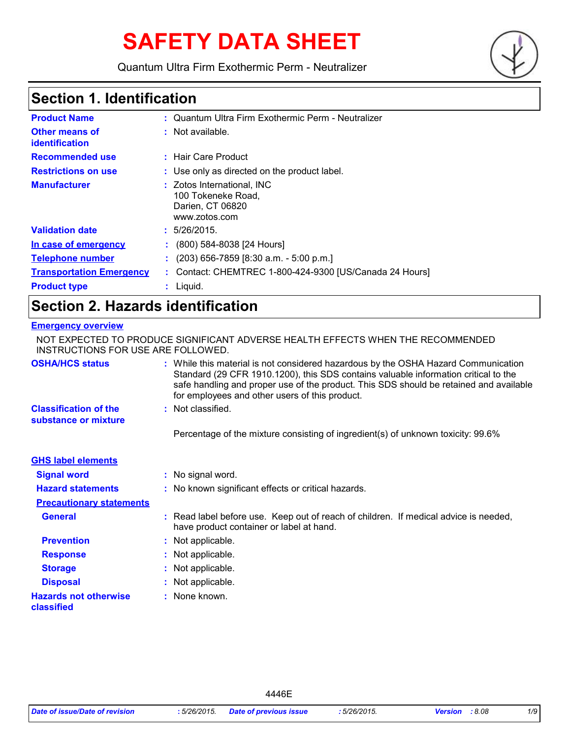# **SAFETY DATA SHEET**

Quantum Ultra Firm Exothermic Perm - Neutralizer



### **Section 1. Identification**

| <b>Product Name</b>                     | : Quantum Ultra Firm Exothermic Perm - Neutralizer                                    |
|-----------------------------------------|---------------------------------------------------------------------------------------|
| <b>Other means of</b><br>identification | $:$ Not available.                                                                    |
| <b>Recommended use</b>                  | : Hair Care Product                                                                   |
| <b>Restrictions on use</b>              | : Use only as directed on the product label.                                          |
| <b>Manufacturer</b>                     | : Zotos International, INC<br>100 Tokeneke Road,<br>Darien, CT 06820<br>www.zotos.com |
| <b>Validation date</b>                  | : 5/26/2015.                                                                          |
| In case of emergency                    | $(800)$ 584-8038 [24 Hours]                                                           |
| <b>Telephone number</b>                 | $(203)$ 656-7859 [8:30 a.m. - 5:00 p.m.]                                              |
| <b>Transportation Emergency</b>         | : Contact: CHEMTREC 1-800-424-9300 [US/Canada 24 Hours]                               |
| <b>Product type</b>                     | $:$ Liquid.                                                                           |

### **Section 2. Hazards identification**

#### **Emergency overview**

| INSTRUCTIONS FOR USE ARE FOLLOWED.                   | NOT EXPECTED TO PRODUCE SIGNIFICANT ADVERSE HEALTH EFFECTS WHEN THE RECOMMENDED                                                                                                                                                                                                                                       |
|------------------------------------------------------|-----------------------------------------------------------------------------------------------------------------------------------------------------------------------------------------------------------------------------------------------------------------------------------------------------------------------|
| <b>OSHA/HCS status</b>                               | : While this material is not considered hazardous by the OSHA Hazard Communication<br>Standard (29 CFR 1910.1200), this SDS contains valuable information critical to the<br>safe handling and proper use of the product. This SDS should be retained and available<br>for employees and other users of this product. |
| <b>Classification of the</b><br>substance or mixture | : Not classified.                                                                                                                                                                                                                                                                                                     |
|                                                      | Percentage of the mixture consisting of ingredient(s) of unknown toxicity: 99.6%                                                                                                                                                                                                                                      |
| <b>GHS label elements</b>                            |                                                                                                                                                                                                                                                                                                                       |
| <b>Signal word</b>                                   | : No signal word.                                                                                                                                                                                                                                                                                                     |
| <b>Hazard statements</b>                             | : No known significant effects or critical hazards.                                                                                                                                                                                                                                                                   |
| <b>Precautionary statements</b>                      |                                                                                                                                                                                                                                                                                                                       |
| <b>General</b>                                       | : Read label before use. Keep out of reach of children. If medical advice is needed,<br>have product container or label at hand.                                                                                                                                                                                      |
| <b>Prevention</b>                                    | : Not applicable.                                                                                                                                                                                                                                                                                                     |
| <b>Response</b>                                      | : Not applicable.                                                                                                                                                                                                                                                                                                     |
| <b>Storage</b>                                       | : Not applicable.                                                                                                                                                                                                                                                                                                     |
| <b>Disposal</b>                                      | : Not applicable.                                                                                                                                                                                                                                                                                                     |
| <b>Hazards not otherwise</b><br>classified           | : None known.                                                                                                                                                                                                                                                                                                         |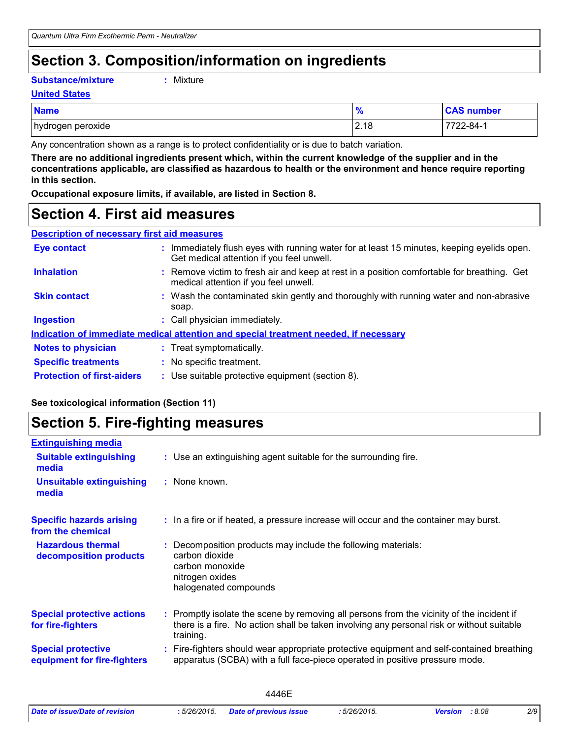## **Section 3. Composition/information on ingredients**

#### **Substance/mixture :**

Mixture

#### **United States**

| <b>Name</b>       | 70   | <b>CAS number</b> |
|-------------------|------|-------------------|
| hydrogen peroxide | 2.18 | 2-84-′            |

Any concentration shown as a range is to protect confidentiality or is due to batch variation.

**There are no additional ingredients present which, within the current knowledge of the supplier and in the concentrations applicable, are classified as hazardous to health or the environment and hence require reporting in this section.**

**Occupational exposure limits, if available, are listed in Section 8.**

### **Section 4. First aid measures**

| <b>Eye contact</b>                | : Immediately flush eyes with running water for at least 15 minutes, keeping eyelids open.<br>Get medical attention if you feel unwell. |
|-----------------------------------|-----------------------------------------------------------------------------------------------------------------------------------------|
| <b>Inhalation</b>                 | : Remove victim to fresh air and keep at rest in a position comfortable for breathing. Get<br>medical attention if you feel unwell.     |
| <b>Skin contact</b>               | : Wash the contaminated skin gently and thoroughly with running water and non-abrasive<br>soap.                                         |
| <b>Ingestion</b>                  | : Call physician immediately.                                                                                                           |
|                                   | Indication of immediate medical attention and special treatment needed, if necessary                                                    |
| <b>Notes to physician</b>         | : Treat symptomatically.                                                                                                                |
| <b>Specific treatments</b>        | : No specific treatment.                                                                                                                |
| <b>Protection of first-aiders</b> | : Use suitable protective equipment (section 8).                                                                                        |

### **See toxicological information (Section 11)**

### **Section 5. Fire-fighting measures**

| <b>Extinguishing media</b>                               |                                                                                                                                                                                                     |
|----------------------------------------------------------|-----------------------------------------------------------------------------------------------------------------------------------------------------------------------------------------------------|
| <b>Suitable extinguishing</b><br>media                   | : Use an extinguishing agent suitable for the surrounding fire.                                                                                                                                     |
| <b>Unsuitable extinguishing</b><br>media                 | : None known.                                                                                                                                                                                       |
| <b>Specific hazards arising</b><br>from the chemical     | : In a fire or if heated, a pressure increase will occur and the container may burst.                                                                                                               |
| <b>Hazardous thermal</b><br>decomposition products       | Decomposition products may include the following materials:<br>carbon dioxide<br>carbon monoxide<br>nitrogen oxides<br>halogenated compounds                                                        |
| <b>Special protective actions</b><br>for fire-fighters   | : Promptly isolate the scene by removing all persons from the vicinity of the incident if<br>there is a fire. No action shall be taken involving any personal risk or without suitable<br>training. |
| <b>Special protective</b><br>equipment for fire-fighters | Fire-fighters should wear appropriate protective equipment and self-contained breathing<br>apparatus (SCBA) with a full face-piece operated in positive pressure mode.                              |
|                                                          |                                                                                                                                                                                                     |

|                                |                   | .                      |             |                          |     |
|--------------------------------|-------------------|------------------------|-------------|--------------------------|-----|
| Date of issue/Date of revision | : 5/26/2015.<br>. | Date of previous issue | : 5/26/2015 | : 8.08<br><b>Version</b> | 2/9 |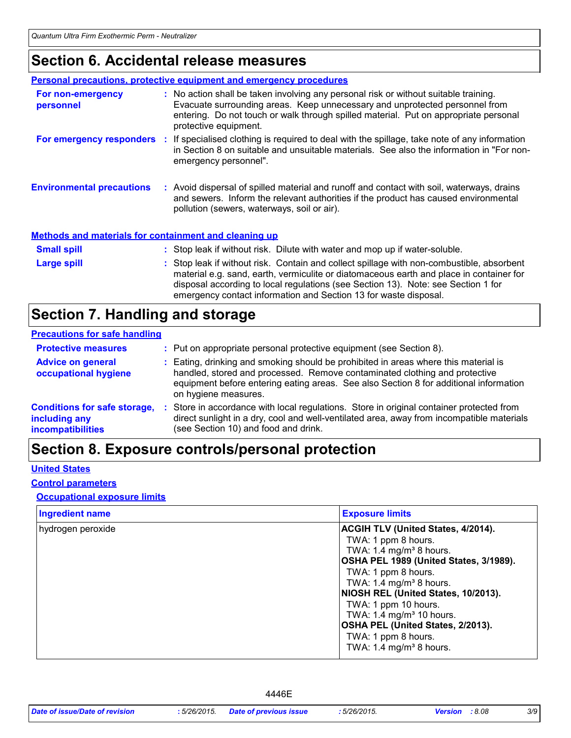### **Section 6. Accidental release measures**

|                                                              | <b>Personal precautions, protective equipment and emergency procedures</b>                                                                                                                                                                                                                                                                    |
|--------------------------------------------------------------|-----------------------------------------------------------------------------------------------------------------------------------------------------------------------------------------------------------------------------------------------------------------------------------------------------------------------------------------------|
| For non-emergency<br>personnel                               | : No action shall be taken involving any personal risk or without suitable training.<br>Evacuate surrounding areas. Keep unnecessary and unprotected personnel from<br>entering. Do not touch or walk through spilled material. Put on appropriate personal<br>protective equipment.                                                          |
|                                                              | For emergency responders : If specialised clothing is required to deal with the spillage, take note of any information<br>in Section 8 on suitable and unsuitable materials. See also the information in "For non-<br>emergency personnel".                                                                                                   |
| <b>Environmental precautions</b>                             | : Avoid dispersal of spilled material and runoff and contact with soil, waterways, drains<br>and sewers. Inform the relevant authorities if the product has caused environmental<br>pollution (sewers, waterways, soil or air).                                                                                                               |
| <b>Methods and materials for containment and cleaning up</b> |                                                                                                                                                                                                                                                                                                                                               |
| <b>Small spill</b>                                           | : Stop leak if without risk. Dilute with water and mop up if water-soluble.                                                                                                                                                                                                                                                                   |
| Large spill                                                  | : Stop leak if without risk. Contain and collect spillage with non-combustible, absorbent<br>material e.g. sand, earth, vermiculite or diatomaceous earth and place in container for<br>disposal according to local regulations (see Section 13). Note: see Section 1 for<br>emergency contact information and Section 13 for waste disposal. |

### **Section 7. Handling and storage**

#### **Precautions for safe handling**

| <b>Protective measures</b>                                                       | : Put on appropriate personal protective equipment (see Section 8).                                                                                                                                                                                                                |
|----------------------------------------------------------------------------------|------------------------------------------------------------------------------------------------------------------------------------------------------------------------------------------------------------------------------------------------------------------------------------|
| <b>Advice on general</b><br>occupational hygiene                                 | : Eating, drinking and smoking should be prohibited in areas where this material is<br>handled, stored and processed. Remove contaminated clothing and protective<br>equipment before entering eating areas. See also Section 8 for additional information<br>on hygiene measures. |
| <b>Conditions for safe storage,</b><br>including any<br><b>incompatibilities</b> | Store in accordance with local regulations. Store in original container protected from<br>direct sunlight in a dry, cool and well-ventilated area, away from incompatible materials<br>(see Section 10) and food and drink.                                                        |

### **Section 8. Exposure controls/personal protection**

### **United States**

#### **Control parameters**

### **Occupational exposure limits**

| <b>Ingredient name</b> | <b>Exposure limits</b>                                                                                                                                                                                                                                                                                                                                                                    |
|------------------------|-------------------------------------------------------------------------------------------------------------------------------------------------------------------------------------------------------------------------------------------------------------------------------------------------------------------------------------------------------------------------------------------|
| hydrogen peroxide      | <b>ACGIH TLV (United States, 4/2014).</b><br>TWA: 1 ppm 8 hours.<br>TWA: 1.4 mg/m <sup>3</sup> 8 hours.<br>OSHA PEL 1989 (United States, 3/1989).<br>TWA: 1 ppm 8 hours.<br>TWA: 1.4 mg/m <sup>3</sup> 8 hours.<br>NIOSH REL (United States, 10/2013).<br>TWA: 1 ppm 10 hours.<br>TWA: 1.4 mg/m <sup>3</sup> 10 hours.<br><b>OSHA PEL (United States, 2/2013).</b><br>TWA: 1 ppm 8 hours. |
|                        | TWA: $1.4 \text{ mg/m}^3$ 8 hours.                                                                                                                                                                                                                                                                                                                                                        |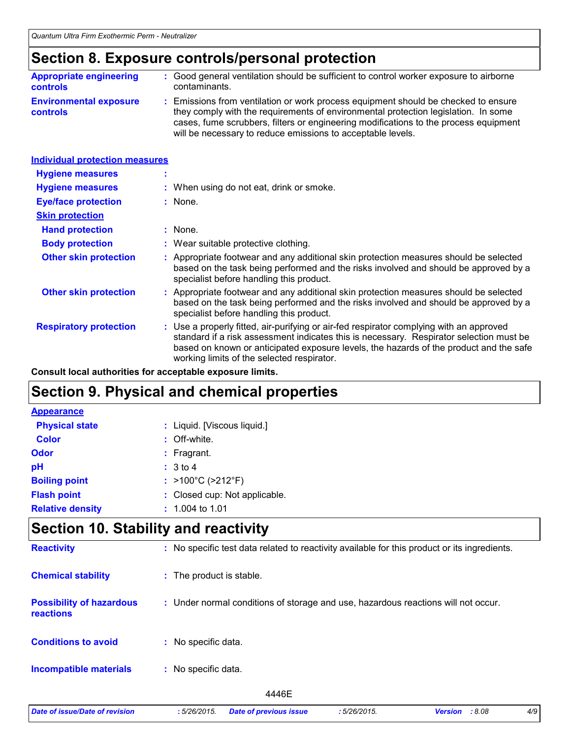### **Section 8. Exposure controls/personal protection**

| <b>Appropriate engineering</b>                   | : Good general ventilation should be sufficient to control worker exposure to airborne                                                                                                                                                                                                                                          |
|--------------------------------------------------|---------------------------------------------------------------------------------------------------------------------------------------------------------------------------------------------------------------------------------------------------------------------------------------------------------------------------------|
| <b>controls</b>                                  | contaminants.                                                                                                                                                                                                                                                                                                                   |
| <b>Environmental exposure</b><br><b>controls</b> | : Emissions from ventilation or work process equipment should be checked to ensure<br>they comply with the requirements of environmental protection legislation. In some<br>cases, fume scrubbers, filters or engineering modifications to the process equipment<br>will be necessary to reduce emissions to acceptable levels. |

| <b>Individual protection measures</b> |                                                                                                                                                                                                                                                                                                                            |
|---------------------------------------|----------------------------------------------------------------------------------------------------------------------------------------------------------------------------------------------------------------------------------------------------------------------------------------------------------------------------|
| <b>Hygiene measures</b>               |                                                                                                                                                                                                                                                                                                                            |
| <b>Hygiene measures</b>               | : When using do not eat, drink or smoke.                                                                                                                                                                                                                                                                                   |
| <b>Eye/face protection</b>            | : None.                                                                                                                                                                                                                                                                                                                    |
| <b>Skin protection</b>                |                                                                                                                                                                                                                                                                                                                            |
| <b>Hand protection</b>                | $:$ None.                                                                                                                                                                                                                                                                                                                  |
| <b>Body protection</b>                | : Wear suitable protective clothing.                                                                                                                                                                                                                                                                                       |
| <b>Other skin protection</b>          | : Appropriate footwear and any additional skin protection measures should be selected<br>based on the task being performed and the risks involved and should be approved by a<br>specialist before handling this product.                                                                                                  |
| <b>Other skin protection</b>          | : Appropriate footwear and any additional skin protection measures should be selected<br>based on the task being performed and the risks involved and should be approved by a<br>specialist before handling this product.                                                                                                  |
| <b>Respiratory protection</b>         | : Use a properly fitted, air-purifying or air-fed respirator complying with an approved<br>standard if a risk assessment indicates this is necessary. Respirator selection must be<br>based on known or anticipated exposure levels, the hazards of the product and the safe<br>working limits of the selected respirator. |

**Consult local authorities for acceptable exposure limits.**

### **Section 9. Physical and chemical properties**

| <b>Appearance</b>       |                                        |
|-------------------------|----------------------------------------|
| <b>Physical state</b>   | : Liquid. [Viscous liquid.]            |
| <b>Color</b>            | : Off-white.                           |
| Odor                    | $:$ Fragrant.                          |
| pH                      | : 3 to 4                               |
| <b>Boiling point</b>    | : $>100^{\circ}$ C ( $>212^{\circ}$ F) |
| <b>Flash point</b>      | : Closed cup: Not applicable.          |
| <b>Relative density</b> | $: 1.004$ to 1.01                      |

### **Section 10. Stability and reactivity**

| <b>Reactivity</b>                            | : No specific test data related to reactivity available for this product or its ingredients. |
|----------------------------------------------|----------------------------------------------------------------------------------------------|
| <b>Chemical stability</b>                    | : The product is stable.                                                                     |
| <b>Possibility of hazardous</b><br>reactions | : Under normal conditions of storage and use, hazardous reactions will not occur.            |
| <b>Conditions to avoid</b>                   | : No specific data.                                                                          |
| <b>Incompatible materials</b>                | : No specific data.                                                                          |
|                                              | 4446E                                                                                        |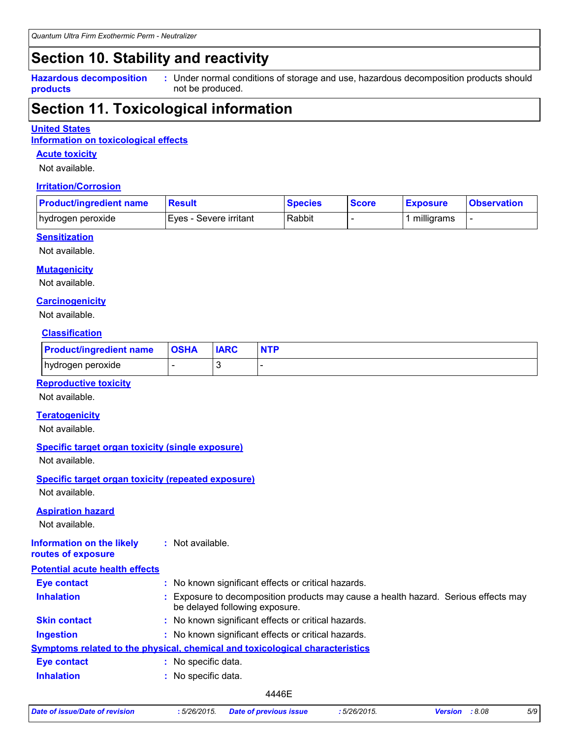### **Section 10. Stability and reactivity**

**Hazardous decomposition products**

Under normal conditions of storage and use, hazardous decomposition products should **:** not be produced.

### **Section 11. Toxicological information**

#### **United States**

**Information on toxicological effects**

#### **Acute toxicity**

Not available.

#### **Irritation/Corrosion**

| <b>Product/ingredient name</b> | <b>Result</b>            | <b>Species</b> | <b>Score</b> | <b>Exposure</b> | <b>Observation</b> |
|--------------------------------|--------------------------|----------------|--------------|-----------------|--------------------|
| hydrogen peroxide              | I Eves - Severe irritant | Rabbit         |              | milligrams      |                    |

### **Sensitization**

Not available.

#### **Mutagenicity**

Not available.

#### **Carcinogenicity**

Not available.

### **Classification**

| <b>Product/ingredient name</b> | <b>OSHA</b> | <b>IARC</b> | <b>NTP</b> |
|--------------------------------|-------------|-------------|------------|
| hydrogen peroxide              |             |             |            |

### **Reproductive toxicity**

Not available.

#### **Teratogenicity**

Not available.

### **Specific target organ toxicity (single exposure)**

Not available.

### **Specific target organ toxicity (repeated exposure)**

Not available.

#### **Aspiration hazard**

Not available.

#### **Information on the likely routes of exposure :** Not available.

| <b>Potential acute health effects</b> |                                                                                                                     |
|---------------------------------------|---------------------------------------------------------------------------------------------------------------------|
| <b>Eye contact</b>                    | : No known significant effects or critical hazards.                                                                 |
| <b>Inhalation</b>                     | Exposure to decomposition products may cause a health hazard. Serious effects may<br>be delayed following exposure. |
| <b>Skin contact</b>                   | : No known significant effects or critical hazards.                                                                 |
| <b>Ingestion</b>                      | : No known significant effects or critical hazards.                                                                 |
|                                       | <b>Symptoms related to the physical, chemical and toxicological characteristics</b>                                 |
| <b>Eye contact</b>                    | : No specific data.                                                                                                 |
| <b>Inhalation</b>                     | No specific data.                                                                                                   |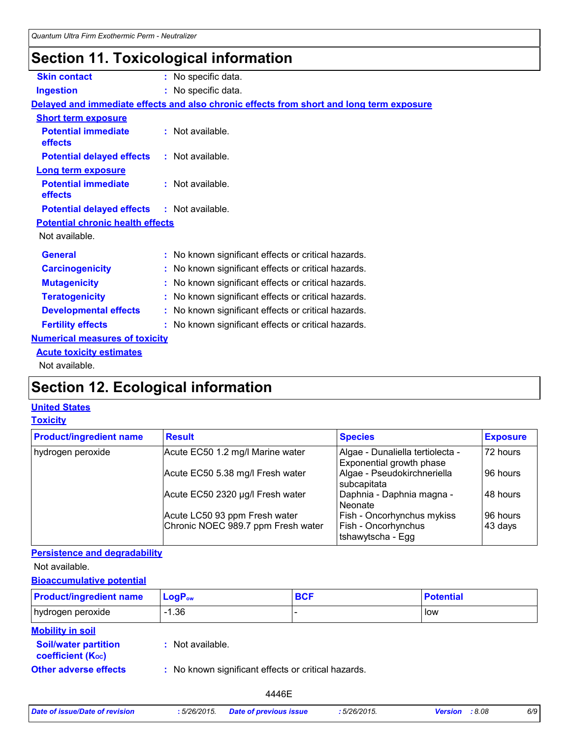### **Section 11. Toxicological information**

| <b>Skin contact</b>                               | : No specific data.                                                                      |
|---------------------------------------------------|------------------------------------------------------------------------------------------|
| <b>Ingestion</b>                                  | : No specific data.                                                                      |
|                                                   | Delayed and immediate effects and also chronic effects from short and long term exposure |
| <b>Short term exposure</b>                        |                                                                                          |
| <b>Potential immediate</b><br>effects             | : Not available.                                                                         |
| <b>Potential delayed effects</b>                  | : Not available.                                                                         |
| <b>Long term exposure</b>                         |                                                                                          |
| <b>Potential immediate</b><br>effects             | $:$ Not available.                                                                       |
| <b>Potential delayed effects : Not available.</b> |                                                                                          |
| <b>Potential chronic health effects</b>           |                                                                                          |
| Not available.                                    |                                                                                          |
| <b>General</b>                                    | : No known significant effects or critical hazards.                                      |
| <b>Carcinogenicity</b>                            | : No known significant effects or critical hazards.                                      |
| <b>Mutagenicity</b>                               | : No known significant effects or critical hazards.                                      |
| <b>Teratogenicity</b>                             | : No known significant effects or critical hazards.                                      |
| <b>Developmental effects</b>                      | : No known significant effects or critical hazards.                                      |
| <b>Fertility effects</b>                          | : No known significant effects or critical hazards.                                      |
| <b>Numerical measures of toxicity</b>             |                                                                                          |
| <b>Acute toxicity estimates</b>                   |                                                                                          |
| Not available.                                    |                                                                                          |

### **Section 12. Ecological information**

### **United States**

### **Toxicity**

| <b>Product/ingredient name</b> | <b>Result</b>                      | <b>Species</b>                                               | <b>Exposure</b> |
|--------------------------------|------------------------------------|--------------------------------------------------------------|-----------------|
| hydrogen peroxide              | Acute EC50 1.2 mg/l Marine water   | Algae - Dunaliella tertiolecta -<br>Exponential growth phase | 72 hours        |
|                                | Acute EC50 5.38 mg/l Fresh water   | Algae - Pseudokirchneriella<br>subcapitata                   | 96 hours        |
|                                | Acute EC50 2320 µg/l Fresh water   | Daphnia - Daphnia magna -<br>Neonate                         | 48 hours        |
|                                | Acute LC50 93 ppm Fresh water      | <b>Fish - Oncorhynchus mykiss</b>                            | 96 hours        |
|                                | Chronic NOEC 989.7 ppm Fresh water | <b>Fish - Oncorhynchus</b><br>tshawytscha - Egg              | 43 days         |

### **Persistence and degradability**

Not available.

### **Bioaccumulative potential**

| <b>Product/ingredient name</b>                          | $LogP_{ow}$                                         | <b>BCF</b> | <b>Potential</b> |
|---------------------------------------------------------|-----------------------------------------------------|------------|------------------|
| hydrogen peroxide                                       | $-1.36$                                             |            | low              |
| <b>Mobility in soil</b>                                 |                                                     |            |                  |
| <b>Soil/water partition</b><br><b>coefficient (Koc)</b> | : Not available.                                    |            |                  |
| <b>Other adverse effects</b>                            | : No known significant effects or critical hazards. |            |                  |

| Date of issue/Date of revision | :5/26/2015. | <b>Date of previous issue</b> |
|--------------------------------|-------------|-------------------------------|
|                                |             |                               |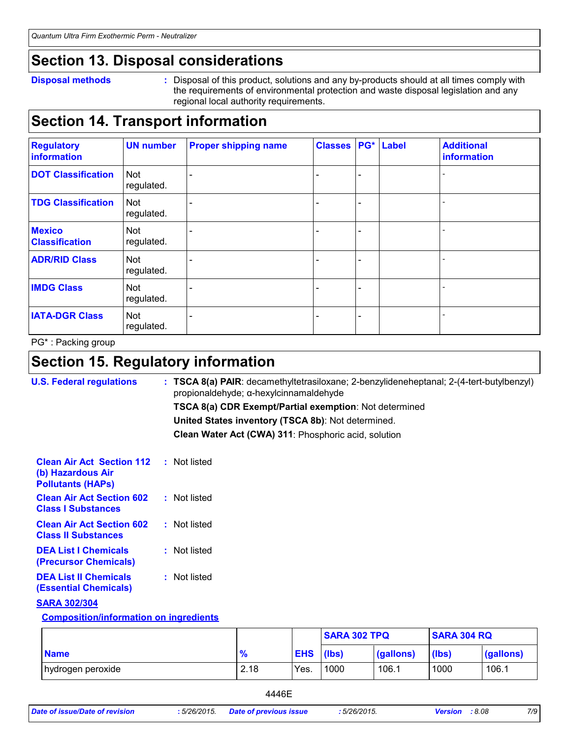### **Section 13. Disposal considerations**

#### **Disposal methods :**

Disposal of this product, solutions and any by-products should at all times comply with the requirements of environmental protection and waste disposal legislation and any regional local authority requirements.

### **Section 14. Transport information**

| <b>Regulatory</b><br>information       | <b>UN number</b>         | <b>Proper shipping name</b> | <b>Classes</b> |                              | <b>PG*</b> Label | <b>Additional</b><br>information |
|----------------------------------------|--------------------------|-----------------------------|----------------|------------------------------|------------------|----------------------------------|
| <b>DOT Classification</b>              | <b>Not</b><br>regulated. |                             |                | $\qquad \qquad \blacksquare$ |                  |                                  |
| <b>TDG Classification</b>              | <b>Not</b><br>regulated. |                             |                | $\overline{\phantom{0}}$     |                  |                                  |
| <b>Mexico</b><br><b>Classification</b> | Not<br>regulated.        |                             |                | $\blacksquare$               |                  |                                  |
| <b>ADR/RID Class</b>                   | <b>Not</b><br>regulated. |                             |                | $\overline{\phantom{0}}$     |                  |                                  |
| <b>IMDG Class</b>                      | Not<br>regulated.        |                             |                | $\overline{\phantom{0}}$     |                  |                                  |
| <b>IATA-DGR Class</b>                  | <b>Not</b><br>regulated. |                             |                | $\overline{\phantom{0}}$     |                  |                                  |

PG\* : Packing group

## **Section 15. Regulatory information**

| <b>U.S. Federal regulations</b>                                                   | $:$ TSCA 8(a) PAIR: decamethyltetrasiloxane; 2-benzylideneheptanal; 2-(4-tert-butylbenzyl)<br>propionaldehyde; α-hexylcinnamaldehyde |
|-----------------------------------------------------------------------------------|--------------------------------------------------------------------------------------------------------------------------------------|
|                                                                                   | <b>TSCA 8(a) CDR Exempt/Partial exemption: Not determined</b>                                                                        |
|                                                                                   | United States inventory (TSCA 8b): Not determined.                                                                                   |
|                                                                                   | Clean Water Act (CWA) 311: Phosphoric acid, solution                                                                                 |
| <b>Clean Air Act Section 112</b><br>(b) Hazardous Air<br><b>Pollutants (HAPS)</b> | : Not listed                                                                                                                         |
| <b>Clean Air Act Section 602</b><br><b>Class I Substances</b>                     | : Not listed                                                                                                                         |
| <b>Clean Air Act Section 602</b><br><b>Class II Substances</b>                    | : Not listed                                                                                                                         |
| <b>DEA List I Chemicals</b><br>(Precursor Chemicals)                              | : Not listed                                                                                                                         |
| <b>DEA List II Chemicals</b><br><b>(Essential Chemicals)</b>                      | : Not listed                                                                                                                         |
| <b>SARA 302/304</b>                                                               |                                                                                                                                      |
| <b>Composition/information on ingredients</b>                                     |                                                                                                                                      |

|                   |               |                  | <b>SARA 302 TPQ</b> |           | <b>SARA 304 RQ</b> |           |
|-------------------|---------------|------------------|---------------------|-----------|--------------------|-----------|
| <b>Name</b>       | $\frac{9}{6}$ | <b>EHS</b> (lbs) |                     | (gallons) | (lbs)              | (gallons) |
| hydrogen peroxide | 2.18          | Yes.             | 1000                | 106.1     | 1000               | 106.1     |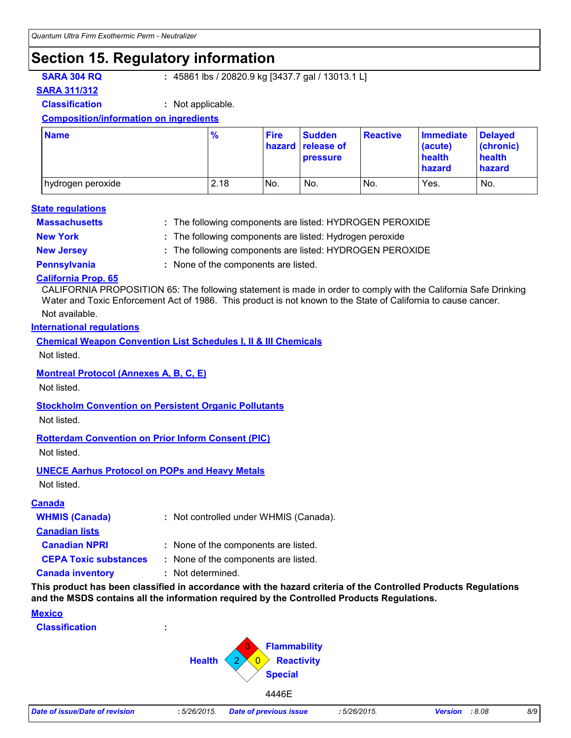### **Section 15. Regulatory information**

**SARA 304 RQ :** 45861 lbs / 20820.9 kg [3437.7 gal / 13013.1 L]

**SARA 311/312**

**Classification :** Not applicable.

#### **Composition/information on ingredients**

| <b>Name</b>         | $\frac{9}{6}$ | <b>Fire</b> | <b>Sudden</b><br>hazard release of<br><b>pressure</b> | <b>Reactive</b> | <b>Immediate</b><br>(acute)<br>health<br>hazard | <b>Delayed</b><br>(chronic)<br>health<br>hazard |
|---------------------|---------------|-------------|-------------------------------------------------------|-----------------|-------------------------------------------------|-------------------------------------------------|
| I hydrogen peroxide | 2.18          | No.         | No.                                                   | No.             | Yes.                                            | No.                                             |

#### **Massachusetts : State regulations**

The following components are listed: HYDROGEN PEROXIDE

- 
- **New York :** The following components are listed: Hydrogen peroxide
- **New Jersey :** The following components are listed: HYDROGEN PEROXIDE
- 
- **Pennsylvania :** None of the components are listed.

### **California Prop. 65**

CALIFORNIA PROPOSITION 65: The following statement is made in order to comply with the California Safe Drinking Water and Toxic Enforcement Act of 1986. This product is not known to the State of California to cause cancer.

### Not available.

#### **International regulations**

**Chemical Weapon Convention List Schedules I, II & III Chemicals**

Not listed.

### **Montreal Protocol (Annexes A, B, C, E)**

Not listed.

### **Stockholm Convention on Persistent Organic Pollutants**

Not listed.

### **Rotterdam Convention on Prior Inform Consent (PIC)**

Not listed.

### **UNECE Aarhus Protocol on POPs and Heavy Metals**

Not listed.

### **Canada**

| <b>WHMIS (Canada)</b>        | : Not controlled under WHMIS (Canada). |  |
|------------------------------|----------------------------------------|--|
| <b>Canadian lists</b>        |                                        |  |
| <b>Canadian NPRI</b>         | : None of the components are listed.   |  |
| <b>CEPA Toxic substances</b> | : None of the components are listed.   |  |
| <b>Canada inventory</b>      | : Not determined.                      |  |

**This product has been classified in accordance with the hazard criteria of the Controlled Products Regulations and the MSDS contains all the information required by the Controlled Products Regulations.**

### **Mexico**

**Classification :**